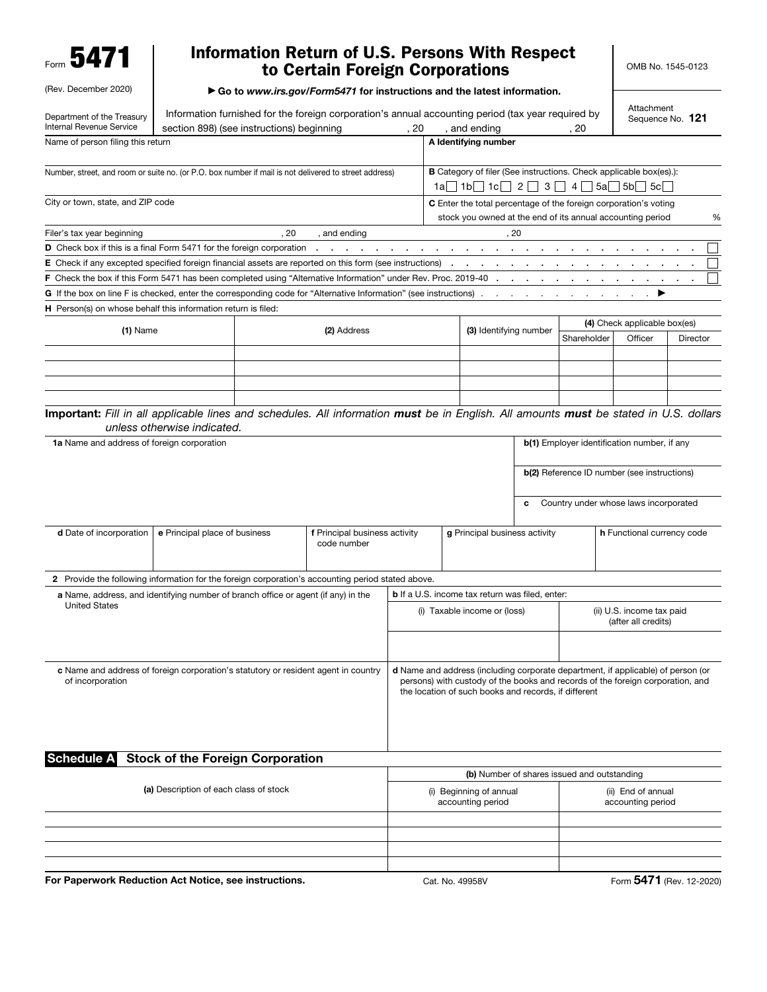Form 5471

(Rev. December 2020)

## Information Return of U.S. Persons With Respect to Certain Foreign Corporations

▶ Go to *www.irs.gov/Form5471* for instructions and the latest information.

| Department of the Treasury                                                                                                            |                                                                         |             | Information furnished for the foreign corporation's annual accounting period (tax year required by                                                                                                                         |                                             |                                                                                                                        |                                                            |                              |                                   | Attachment<br>Sequence No. 121              |          |   |  |  |
|---------------------------------------------------------------------------------------------------------------------------------------|-------------------------------------------------------------------------|-------------|----------------------------------------------------------------------------------------------------------------------------------------------------------------------------------------------------------------------------|---------------------------------------------|------------------------------------------------------------------------------------------------------------------------|------------------------------------------------------------|------------------------------|-----------------------------------|---------------------------------------------|----------|---|--|--|
| Internal Revenue Service                                                                                                              | section 898) (see instructions) beginning<br>, 20<br>and ending<br>. 20 |             |                                                                                                                                                                                                                            |                                             |                                                                                                                        |                                                            |                              |                                   |                                             |          |   |  |  |
| Name of person filing this return                                                                                                     |                                                                         |             |                                                                                                                                                                                                                            |                                             |                                                                                                                        | A Identifying number                                       |                              |                                   |                                             |          |   |  |  |
| Number, street, and room or suite no. (or P.O. box number if mail is not delivered to street address)                                 |                                                                         |             |                                                                                                                                                                                                                            |                                             | <b>B</b> Category of filer (See instructions. Check applicable box(es).):<br>$1a$ $1b$ $1c$ $2$ $3$ $4$ $5a$ $5b$ $5c$ |                                                            |                              |                                   |                                             |          |   |  |  |
| City or town, state, and ZIP code                                                                                                     |                                                                         |             |                                                                                                                                                                                                                            |                                             | C Enter the total percentage of the foreign corporation's voting                                                       |                                                            |                              |                                   |                                             |          |   |  |  |
|                                                                                                                                       |                                                                         |             |                                                                                                                                                                                                                            |                                             |                                                                                                                        | stock you owned at the end of its annual accounting period |                              |                                   |                                             |          | % |  |  |
| Filer's tax year beginning                                                                                                            |                                                                         | .20         | , and ending                                                                                                                                                                                                               |                                             |                                                                                                                        | , 20                                                       |                              |                                   |                                             |          |   |  |  |
| D Check box if this is a final Form 5471 for the foreign corporation                                                                  |                                                                         |             |                                                                                                                                                                                                                            |                                             |                                                                                                                        |                                                            | <b>Service</b>               | <b>Contract Contract Contract</b> |                                             |          |   |  |  |
| <b>E</b> Check if any excepted specified foreign financial assets are reported on this form (see instructions)                        |                                                                         |             |                                                                                                                                                                                                                            |                                             | $\bullet$                                                                                                              | $\bullet$                                                  | and the contract of the con- | the company of                    |                                             |          |   |  |  |
| F Check the box if this Form 5471 has been completed using "Alternative Information" under Rev. Proc. 2019-40                         |                                                                         |             |                                                                                                                                                                                                                            |                                             |                                                                                                                        |                                                            |                              |                                   | the contract of the contract of the con-    |          |   |  |  |
| G If the box on line F is checked, enter the corresponding code for "Alternative Information" (see instructions)                      |                                                                         |             |                                                                                                                                                                                                                            |                                             |                                                                                                                        |                                                            |                              | <b>Service</b>                    |                                             |          |   |  |  |
| H Person(s) on whose behalf this information return is filed:                                                                         |                                                                         |             |                                                                                                                                                                                                                            |                                             |                                                                                                                        |                                                            |                              |                                   |                                             |          |   |  |  |
|                                                                                                                                       |                                                                         |             |                                                                                                                                                                                                                            |                                             |                                                                                                                        | (3) Identifying number                                     |                              |                                   | (4) Check applicable box(es)                |          |   |  |  |
| $(1)$ Name                                                                                                                            |                                                                         | (2) Address |                                                                                                                                                                                                                            |                                             |                                                                                                                        |                                                            |                              | Shareholder                       | Officer                                     | Director |   |  |  |
|                                                                                                                                       |                                                                         |             |                                                                                                                                                                                                                            |                                             |                                                                                                                        |                                                            |                              |                                   |                                             |          |   |  |  |
|                                                                                                                                       |                                                                         |             |                                                                                                                                                                                                                            |                                             |                                                                                                                        |                                                            |                              |                                   |                                             |          |   |  |  |
|                                                                                                                                       |                                                                         |             |                                                                                                                                                                                                                            |                                             |                                                                                                                        |                                                            |                              |                                   |                                             |          |   |  |  |
|                                                                                                                                       |                                                                         |             |                                                                                                                                                                                                                            |                                             |                                                                                                                        |                                                            |                              |                                   |                                             |          |   |  |  |
| Important: Fill in all applicable lines and schedules. All information must be in English. All amounts must be stated in U.S. dollars | unless otherwise indicated.                                             |             |                                                                                                                                                                                                                            |                                             |                                                                                                                        |                                                            |                              |                                   |                                             |          |   |  |  |
| 1a Name and address of foreign corporation                                                                                            |                                                                         |             |                                                                                                                                                                                                                            |                                             |                                                                                                                        |                                                            |                              |                                   | b(1) Employer identification number, if any |          |   |  |  |
|                                                                                                                                       |                                                                         |             |                                                                                                                                                                                                                            |                                             |                                                                                                                        |                                                            |                              |                                   |                                             |          |   |  |  |
|                                                                                                                                       |                                                                         |             |                                                                                                                                                                                                                            |                                             |                                                                                                                        |                                                            |                              |                                   | b(2) Reference ID number (see instructions) |          |   |  |  |
|                                                                                                                                       |                                                                         |             |                                                                                                                                                                                                                            |                                             |                                                                                                                        |                                                            |                              |                                   |                                             |          |   |  |  |
|                                                                                                                                       |                                                                         |             |                                                                                                                                                                                                                            |                                             |                                                                                                                        |                                                            | c                            |                                   | Country under whose laws incorporated       |          |   |  |  |
|                                                                                                                                       |                                                                         |             |                                                                                                                                                                                                                            |                                             |                                                                                                                        |                                                            |                              |                                   |                                             |          |   |  |  |
| <b>d</b> Date of incorporation                                                                                                        | e Principal place of business                                           |             | f Principal business activity                                                                                                                                                                                              | g Principal business activity               |                                                                                                                        |                                                            |                              | <b>h</b> Functional currency code |                                             |          |   |  |  |
|                                                                                                                                       |                                                                         | code number |                                                                                                                                                                                                                            |                                             |                                                                                                                        |                                                            |                              |                                   |                                             |          |   |  |  |
|                                                                                                                                       |                                                                         |             |                                                                                                                                                                                                                            |                                             |                                                                                                                        |                                                            |                              |                                   |                                             |          |   |  |  |
| 2 Provide the following information for the foreign corporation's accounting period stated above.                                     |                                                                         |             |                                                                                                                                                                                                                            |                                             |                                                                                                                        |                                                            |                              |                                   |                                             |          |   |  |  |
| a Name, address, and identifying number of branch office or agent (if any) in the                                                     |                                                                         |             |                                                                                                                                                                                                                            |                                             |                                                                                                                        | <b>b</b> If a U.S. income tax return was filed, enter:     |                              |                                   |                                             |          |   |  |  |
| <b>United States</b>                                                                                                                  |                                                                         |             |                                                                                                                                                                                                                            |                                             | (ii) U.S. income tax paid<br>(i) Taxable income or (loss)                                                              |                                                            |                              |                                   |                                             |          |   |  |  |
|                                                                                                                                       |                                                                         |             |                                                                                                                                                                                                                            |                                             |                                                                                                                        |                                                            |                              | (after all credits)               |                                             |          |   |  |  |
|                                                                                                                                       |                                                                         |             |                                                                                                                                                                                                                            |                                             |                                                                                                                        |                                                            |                              |                                   |                                             |          |   |  |  |
|                                                                                                                                       |                                                                         |             |                                                                                                                                                                                                                            |                                             |                                                                                                                        |                                                            |                              |                                   |                                             |          |   |  |  |
| c Name and address of foreign corporation's statutory or resident agent in country<br>of incorporation                                |                                                                         |             | d Name and address (including corporate department, if applicable) of person (or<br>persons) with custody of the books and records of the foreign corporation, and<br>the location of such books and records, if different |                                             |                                                                                                                        |                                                            |                              |                                   |                                             |          |   |  |  |
|                                                                                                                                       |                                                                         |             |                                                                                                                                                                                                                            |                                             |                                                                                                                        |                                                            |                              |                                   |                                             |          |   |  |  |
|                                                                                                                                       |                                                                         |             |                                                                                                                                                                                                                            |                                             |                                                                                                                        |                                                            |                              |                                   |                                             |          |   |  |  |
| <b>Schedule A</b>                                                                                                                     | <b>Stock of the Foreign Corporation</b>                                 |             |                                                                                                                                                                                                                            |                                             |                                                                                                                        |                                                            |                              |                                   |                                             |          |   |  |  |
|                                                                                                                                       |                                                                         |             |                                                                                                                                                                                                                            |                                             |                                                                                                                        |                                                            |                              |                                   |                                             |          |   |  |  |
|                                                                                                                                       | (a) Description of each class of stock                                  |             |                                                                                                                                                                                                                            | (b) Number of shares issued and outstanding |                                                                                                                        |                                                            |                              |                                   |                                             |          |   |  |  |
|                                                                                                                                       |                                                                         |             |                                                                                                                                                                                                                            |                                             | (i) Beginning of annual<br>accounting period                                                                           |                                                            |                              |                                   | (ii) End of annual<br>accounting period     |          |   |  |  |
|                                                                                                                                       |                                                                         |             |                                                                                                                                                                                                                            |                                             |                                                                                                                        |                                                            |                              |                                   |                                             |          |   |  |  |
|                                                                                                                                       |                                                                         |             |                                                                                                                                                                                                                            |                                             |                                                                                                                        |                                                            |                              |                                   |                                             |          |   |  |  |
|                                                                                                                                       |                                                                         |             |                                                                                                                                                                                                                            |                                             |                                                                                                                        |                                                            |                              |                                   |                                             |          |   |  |  |
|                                                                                                                                       |                                                                         |             |                                                                                                                                                                                                                            |                                             |                                                                                                                        |                                                            |                              |                                   |                                             |          |   |  |  |
|                                                                                                                                       |                                                                         |             |                                                                                                                                                                                                                            |                                             |                                                                                                                        |                                                            |                              |                                   | <b>FA74</b>                                 |          |   |  |  |

For Paperwork Reduction Act Notice, see instructions. Cat. No. 49958V Form 5471 (Rev. 12-2020)

OMB No. 1545-0123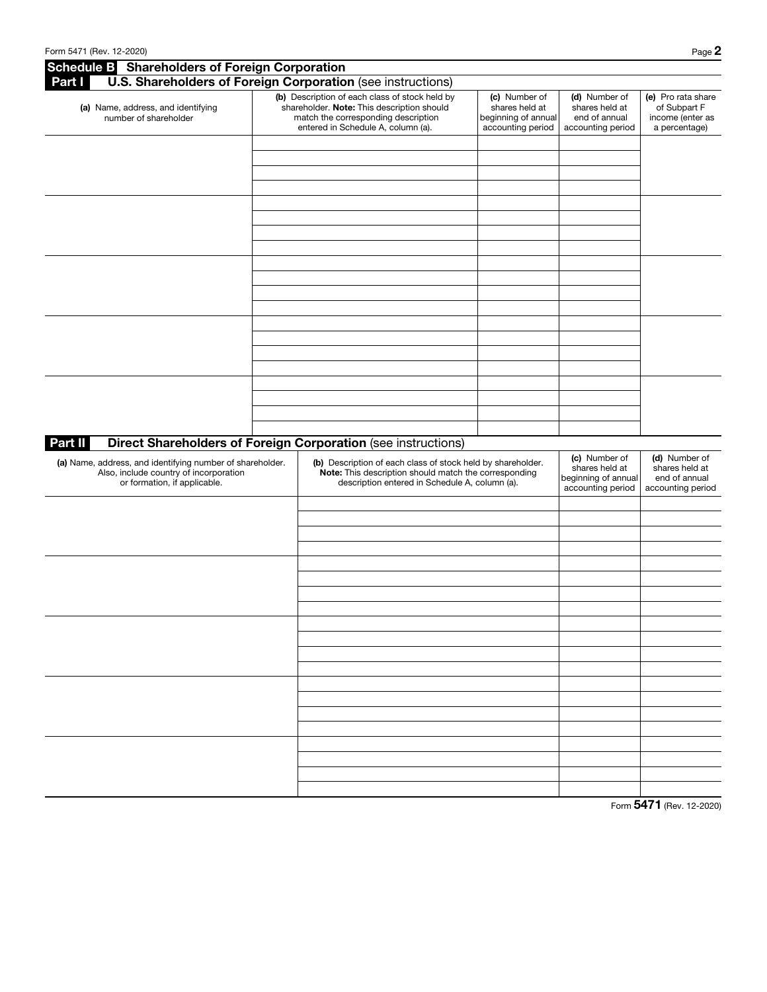| <b>Schedule B</b> Shareholders of Foreign Corporation                                                                               |  |                                                                                                                                                                           |                                                                             |                                                                             |                                                                         |
|-------------------------------------------------------------------------------------------------------------------------------------|--|---------------------------------------------------------------------------------------------------------------------------------------------------------------------------|-----------------------------------------------------------------------------|-----------------------------------------------------------------------------|-------------------------------------------------------------------------|
| Part I                                                                                                                              |  | U.S. Shareholders of Foreign Corporation (see instructions)                                                                                                               |                                                                             |                                                                             |                                                                         |
| (a) Name, address, and identifying<br>number of shareholder                                                                         |  | (b) Description of each class of stock held by<br>shareholder. Note: This description should<br>match the corresponding description<br>entered in Schedule A, column (a). | (c) Number of<br>shares held at<br>beginning of annual<br>accounting period | (d) Number of<br>shares held at<br>end of annual<br>accounting period       | (e) Pro rata share<br>of Subpart F<br>income (enter as<br>a percentage) |
|                                                                                                                                     |  |                                                                                                                                                                           |                                                                             |                                                                             |                                                                         |
|                                                                                                                                     |  |                                                                                                                                                                           |                                                                             |                                                                             |                                                                         |
|                                                                                                                                     |  |                                                                                                                                                                           |                                                                             |                                                                             |                                                                         |
|                                                                                                                                     |  |                                                                                                                                                                           |                                                                             |                                                                             |                                                                         |
|                                                                                                                                     |  |                                                                                                                                                                           |                                                                             |                                                                             |                                                                         |
|                                                                                                                                     |  |                                                                                                                                                                           |                                                                             |                                                                             |                                                                         |
|                                                                                                                                     |  |                                                                                                                                                                           |                                                                             |                                                                             |                                                                         |
|                                                                                                                                     |  |                                                                                                                                                                           |                                                                             |                                                                             |                                                                         |
|                                                                                                                                     |  |                                                                                                                                                                           |                                                                             |                                                                             |                                                                         |
|                                                                                                                                     |  |                                                                                                                                                                           |                                                                             |                                                                             |                                                                         |
|                                                                                                                                     |  |                                                                                                                                                                           |                                                                             |                                                                             |                                                                         |
| Part II                                                                                                                             |  | <b>Direct Shareholders of Foreign Corporation (see instructions)</b>                                                                                                      |                                                                             |                                                                             |                                                                         |
| (a) Name, address, and identifying number of shareholder.<br>Also, include country of incorporation<br>or formation, if applicable. |  | (b) Description of each class of stock held by shareholder.<br>Note: This description should match the corresponding<br>description entered in Schedule A, column (a).    |                                                                             | (c) Number of<br>shares held at<br>beginning of annual<br>accounting period | (d) Number of<br>shares held at<br>end of annual<br>accounting period   |
|                                                                                                                                     |  |                                                                                                                                                                           |                                                                             |                                                                             |                                                                         |
|                                                                                                                                     |  |                                                                                                                                                                           |                                                                             |                                                                             |                                                                         |
|                                                                                                                                     |  |                                                                                                                                                                           |                                                                             |                                                                             |                                                                         |
|                                                                                                                                     |  |                                                                                                                                                                           |                                                                             |                                                                             |                                                                         |
|                                                                                                                                     |  |                                                                                                                                                                           |                                                                             |                                                                             |                                                                         |
|                                                                                                                                     |  |                                                                                                                                                                           |                                                                             |                                                                             |                                                                         |
|                                                                                                                                     |  |                                                                                                                                                                           |                                                                             |                                                                             |                                                                         |
|                                                                                                                                     |  |                                                                                                                                                                           |                                                                             |                                                                             |                                                                         |
|                                                                                                                                     |  |                                                                                                                                                                           |                                                                             |                                                                             |                                                                         |
|                                                                                                                                     |  |                                                                                                                                                                           |                                                                             |                                                                             |                                                                         |
|                                                                                                                                     |  |                                                                                                                                                                           |                                                                             |                                                                             |                                                                         |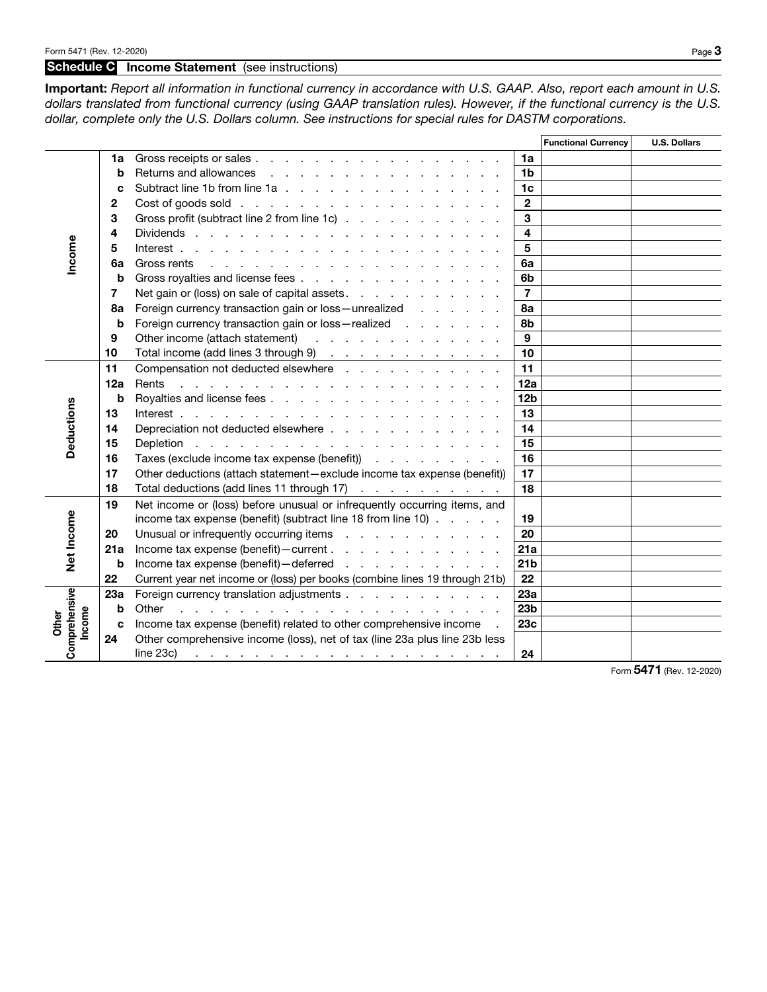## Schedule C Income Statement (see instructions)

Important: *Report all information in functional currency in accordance with U.S. GAAP. Also, report each amount in U.S.*  dollars translated from functional currency (using GAAP translation rules). However, if the functional currency is the U.S. *dollar, complete only the U.S. Dollars column. See instructions for special rules for DASTM corporations.*

|                 |              |                                                                                                                                                                                                                                                                                                                                                                        |                 | <b>Functional Currency</b> | <b>U.S. Dollars</b> |
|-----------------|--------------|------------------------------------------------------------------------------------------------------------------------------------------------------------------------------------------------------------------------------------------------------------------------------------------------------------------------------------------------------------------------|-----------------|----------------------------|---------------------|
|                 | 1a           | Gross receipts or sales                                                                                                                                                                                                                                                                                                                                                | 1a              |                            |                     |
|                 | b            | Returns and allowances<br>the contract of the contract of the contract of the contract of the contract of the contract of the contract of                                                                                                                                                                                                                              | 1 <sub>b</sub>  |                            |                     |
|                 | C            | Subtract line 1b from line 1a                                                                                                                                                                                                                                                                                                                                          | 1c              |                            |                     |
|                 | $\mathbf{2}$ | Cost of goods sold                                                                                                                                                                                                                                                                                                                                                     | $\mathbf{2}$    |                            |                     |
|                 | 3            | Gross profit (subtract line 2 from line 1c)                                                                                                                                                                                                                                                                                                                            | 3               |                            |                     |
|                 | 4            |                                                                                                                                                                                                                                                                                                                                                                        | 4               |                            |                     |
|                 | 5            |                                                                                                                                                                                                                                                                                                                                                                        | 5               |                            |                     |
| Income          | 6а           | Gross rents $\qquad \qquad$ $\qquad \qquad$ $\qquad \qquad$ $\qquad \qquad$ $\qquad \qquad$ $\qquad \qquad$ $\qquad \qquad$ $\qquad \qquad$ $\qquad \qquad$ $\qquad \qquad$ $\qquad \qquad$ $\qquad \qquad$ $\qquad$ $\qquad \qquad$ $\qquad$ $\qquad$ $\qquad$ $\qquad$ $\qquad$ $\qquad$ $\qquad$ $\qquad$ $\qquad$ $\qquad$ $\qquad$ $\qquad$ $\qquad$ $\qquad$ $\$ | 6a              |                            |                     |
|                 | b            | Gross royalties and license fees                                                                                                                                                                                                                                                                                                                                       | 6 <sub>b</sub>  |                            |                     |
|                 | 7            | Net gain or (loss) on sale of capital assets.                                                                                                                                                                                                                                                                                                                          | $\overline{7}$  |                            |                     |
|                 | 8а           | Foreign currency transaction gain or loss - unrealized                                                                                                                                                                                                                                                                                                                 | 8a              |                            |                     |
|                 | b            | Foreign currency transaction gain or loss-realized                                                                                                                                                                                                                                                                                                                     | 8b              |                            |                     |
|                 | 9            | Other income (attach statement)                                                                                                                                                                                                                                                                                                                                        | 9               |                            |                     |
|                 | 10           | Total income (add lines 3 through 9)                                                                                                                                                                                                                                                                                                                                   | 10              |                            |                     |
|                 | 11           | Compensation not deducted elsewhere                                                                                                                                                                                                                                                                                                                                    | 11              |                            |                     |
|                 | 12a          | Rents<br>والمتحاول والمتحاول والمتحاول والمتحاول والمتحاول والمتحاول والمتحاول والمتحاول                                                                                                                                                                                                                                                                               | 12a             |                            |                     |
|                 | b            | Royalties and license fees                                                                                                                                                                                                                                                                                                                                             | 12 <sub>b</sub> |                            |                     |
|                 | 13           |                                                                                                                                                                                                                                                                                                                                                                        | 13              |                            |                     |
|                 | 14           | Depreciation not deducted elsewhere                                                                                                                                                                                                                                                                                                                                    | 14              |                            |                     |
| Deductions      | 15           |                                                                                                                                                                                                                                                                                                                                                                        | 15              |                            |                     |
|                 | 16           | Taxes (exclude income tax expense (benefit)                                                                                                                                                                                                                                                                                                                            | 16              |                            |                     |
|                 | 17           | Other deductions (attach statement-exclude income tax expense (benefit))                                                                                                                                                                                                                                                                                               | 17              |                            |                     |
|                 | 18           | Total deductions (add lines 11 through 17)                                                                                                                                                                                                                                                                                                                             | 18              |                            |                     |
|                 | 19           | Net income or (loss) before unusual or infrequently occurring items, and                                                                                                                                                                                                                                                                                               |                 |                            |                     |
| Net Income      |              | income tax expense (benefit) (subtract line 18 from line 10)                                                                                                                                                                                                                                                                                                           | 19              |                            |                     |
|                 | 20           | Unusual or infrequently occurring items                                                                                                                                                                                                                                                                                                                                | 20              |                            |                     |
|                 | 21a          | Income tax expense (benefit) - current                                                                                                                                                                                                                                                                                                                                 | 21a             |                            |                     |
|                 | b            | Income tax expense (benefit) - deferred                                                                                                                                                                                                                                                                                                                                | 21 <sub>b</sub> |                            |                     |
|                 | 22           | Current year net income or (loss) per books (combine lines 19 through 21b)                                                                                                                                                                                                                                                                                             | 22              |                            |                     |
|                 | 23a          | Foreign currency translation adjustments                                                                                                                                                                                                                                                                                                                               | 23a             |                            |                     |
|                 | b            | Other<br>the contract of the contract of the contract of the contract of the contract of                                                                                                                                                                                                                                                                               | 23 <sub>b</sub> |                            |                     |
| Income<br>Other | C            | Income tax expense (benefit) related to other comprehensive income                                                                                                                                                                                                                                                                                                     | 23c             |                            |                     |
| Comprehensive   | 24           | Other comprehensive income (loss), net of tax (line 23a plus line 23b less<br>line 23c<br>المنامين والمنامين والمنامين والمنامين والمنامين والمنامين والمنامين والمنامين                                                                                                                                                                                               | 24              |                            |                     |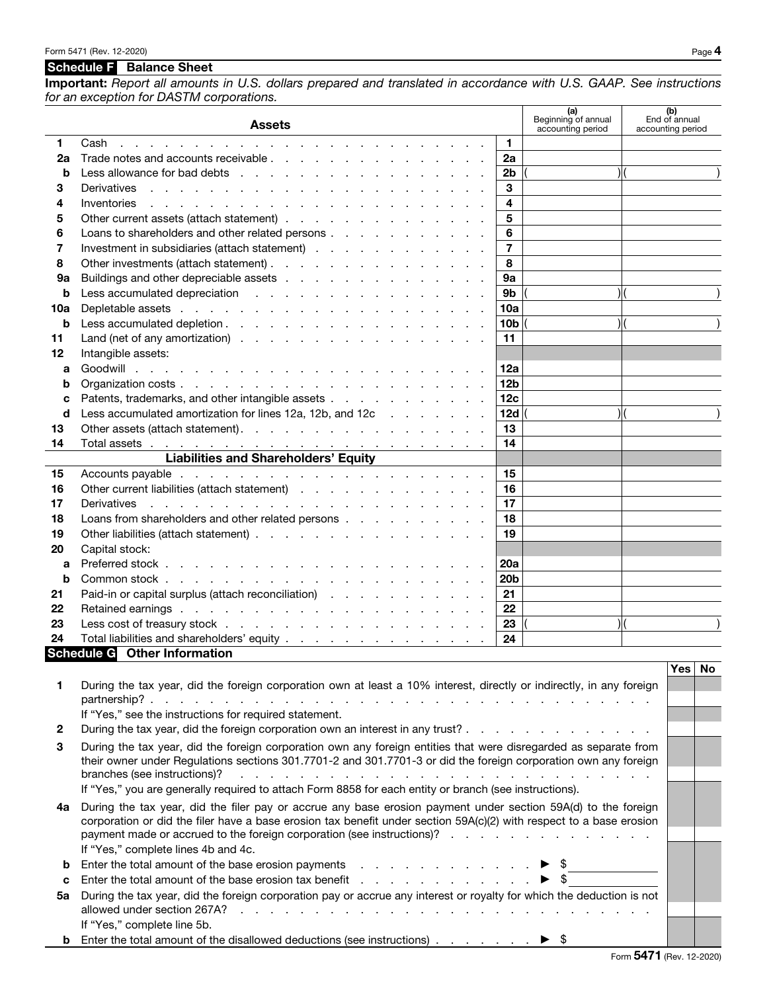## Schedule F Balance Sheet

If "Yes," complete line 5b.

Important: *Report all amounts in U.S. dollars prepared and translated in accordance with U.S. GAAP. See instructions for an exception for DASTM corporations.*

|          | <b>Assets</b>                                                                                                                                                                                                                                 |                 | (a)<br>Beginning of annual<br>accounting period | accounting period | (b)<br>End of annual |           |
|----------|-----------------------------------------------------------------------------------------------------------------------------------------------------------------------------------------------------------------------------------------------|-----------------|-------------------------------------------------|-------------------|----------------------|-----------|
| 1        | Cash<br>the contract of the contract of the contract of the contract of the contract of the contract of the contract of                                                                                                                       | 1               |                                                 |                   |                      |           |
| 2a       |                                                                                                                                                                                                                                               | 2a              |                                                 |                   |                      |           |
| b        |                                                                                                                                                                                                                                               | 2 <sub>b</sub>  |                                                 | ) (               |                      |           |
| 3        | the contract of the contract of the contract of the contract of the contract of the contract of the contract of<br>Derivatives                                                                                                                | 3               |                                                 |                   |                      |           |
| 4        | Inventories<br>and the company of the company of the company of the company of the company of the company of the company of the company of the company of the company of the company of the company of the company of the company of the comp | 4               |                                                 |                   |                      |           |
| 5        | Other current assets (attach statement)                                                                                                                                                                                                       | 5               |                                                 |                   |                      |           |
| 6        | Loans to shareholders and other related persons                                                                                                                                                                                               | 6               |                                                 |                   |                      |           |
| 7        | Investment in subsidiaries (attach statement)                                                                                                                                                                                                 | $\overline{7}$  |                                                 |                   |                      |           |
| 8        | Other investments (attach statement).                                                                                                                                                                                                         | 8               |                                                 |                   |                      |           |
| 9а       | Buildings and other depreciable assets                                                                                                                                                                                                        | <b>9a</b>       |                                                 |                   |                      |           |
| b        |                                                                                                                                                                                                                                               | 9 <sub>b</sub>  |                                                 | $\mathcal{H}$     |                      |           |
| 10a      |                                                                                                                                                                                                                                               | 10a             |                                                 |                   |                      |           |
| b        |                                                                                                                                                                                                                                               | 10 <sub>b</sub> |                                                 | ) (               |                      |           |
| 11       | Land (net of any amortization) $\cdots$ $\cdots$ $\cdots$ $\cdots$ $\cdots$ $\cdots$ $\cdots$                                                                                                                                                 | 11              |                                                 |                   |                      |           |
| 12       | Intangible assets:                                                                                                                                                                                                                            |                 |                                                 |                   |                      |           |
| a        |                                                                                                                                                                                                                                               | 12a             |                                                 |                   |                      |           |
| b        |                                                                                                                                                                                                                                               | 12 <sub>b</sub> |                                                 |                   |                      |           |
| c        | Patents, trademarks, and other intangible assets                                                                                                                                                                                              | 12 <sub>c</sub> |                                                 |                   |                      |           |
| d        | Less accumulated amortization for lines 12a, 12b, and 12c                                                                                                                                                                                     | 12d             |                                                 | $\mathcal{H}$     |                      |           |
| 13       | Other assets (attach statement).                                                                                                                                                                                                              | 13              |                                                 |                   |                      |           |
| 14       |                                                                                                                                                                                                                                               | 14              |                                                 |                   |                      |           |
|          | <b>Liabilities and Shareholders' Equity</b>                                                                                                                                                                                                   |                 |                                                 |                   |                      |           |
| 15       |                                                                                                                                                                                                                                               | 15              |                                                 |                   |                      |           |
| 16       | Other current liabilities (attach statement)                                                                                                                                                                                                  | 16              |                                                 |                   |                      |           |
| 17       | and the contract of the contract of the contract of the contract of the contract of the contract of the contract of the contract of the contract of the contract of the contract of the contract of the contract of the contra<br>Derivatives | 17              |                                                 |                   |                      |           |
| 18       | Loans from shareholders and other related persons                                                                                                                                                                                             | 18              |                                                 |                   |                      |           |
| 19       | Other liabilities (attach statement)                                                                                                                                                                                                          | 19              |                                                 |                   |                      |           |
| 20       | Capital stock:                                                                                                                                                                                                                                |                 |                                                 |                   |                      |           |
| a        |                                                                                                                                                                                                                                               | 20a             |                                                 |                   |                      |           |
| b        |                                                                                                                                                                                                                                               | 20 <sub>b</sub> |                                                 |                   |                      |           |
| 21       | Paid-in or capital surplus (attach reconciliation)                                                                                                                                                                                            | 21              |                                                 |                   |                      |           |
| 22       |                                                                                                                                                                                                                                               | 22              |                                                 |                   |                      |           |
| 23<br>24 |                                                                                                                                                                                                                                               | 23<br>24        |                                                 | $\mathcal{V}$     |                      |           |
|          | Total liabilities and shareholders' equity <u>.</u><br>Schedule G Other Information                                                                                                                                                           |                 |                                                 |                   |                      |           |
|          |                                                                                                                                                                                                                                               |                 |                                                 |                   | Yes                  | <b>No</b> |
| 1        | During the tax year, did the foreign corporation own at least a 10% interest, directly or indirectly, in any foreign                                                                                                                          |                 |                                                 |                   |                      |           |
|          |                                                                                                                                                                                                                                               |                 |                                                 |                   |                      |           |
|          | If "Yes," see the instructions for required statement.                                                                                                                                                                                        |                 |                                                 |                   |                      |           |
| 2        | During the tax year, did the foreign corporation own an interest in any trust?                                                                                                                                                                |                 |                                                 |                   |                      |           |
| 3        | During the tax year, did the foreign corporation own any foreign entities that were disregarded as separate from                                                                                                                              |                 |                                                 |                   |                      |           |
|          | their owner under Regulations sections 301.7701-2 and 301.7701-3 or did the foreign corporation own any foreign                                                                                                                               |                 |                                                 |                   |                      |           |
|          | branches (see instructions)?                                                                                                                                                                                                                  |                 |                                                 |                   |                      |           |
|          | If "Yes," you are generally required to attach Form 8858 for each entity or branch (see instructions).                                                                                                                                        |                 |                                                 |                   |                      |           |
| 4a       | During the tax year, did the filer pay or accrue any base erosion payment under section 59A(d) to the foreign                                                                                                                                 |                 |                                                 |                   |                      |           |
|          | corporation or did the filer have a base erosion tax benefit under section 59A(c)(2) with respect to a base erosion                                                                                                                           |                 |                                                 |                   |                      |           |
|          | payment made or accrued to the foreign corporation (see instructions)?                                                                                                                                                                        |                 |                                                 |                   |                      |           |
|          | If "Yes," complete lines 4b and 4c.                                                                                                                                                                                                           |                 |                                                 |                   |                      |           |
| b        | Enter the total amount of the base erosion payments $\blacksquare$                                                                                                                                                                            |                 |                                                 |                   |                      |           |
| c        |                                                                                                                                                                                                                                               |                 | - \$                                            |                   |                      |           |
| 5a       | During the tax year, did the foreign corporation pay or accrue any interest or royalty for which the deduction is not                                                                                                                         |                 |                                                 |                   |                      |           |
|          |                                                                                                                                                                                                                                               |                 |                                                 |                   |                      |           |

**b** Enter the total amount of the disallowed deductions (see instructions) . . . . . . .  $\blacktriangleright$  \$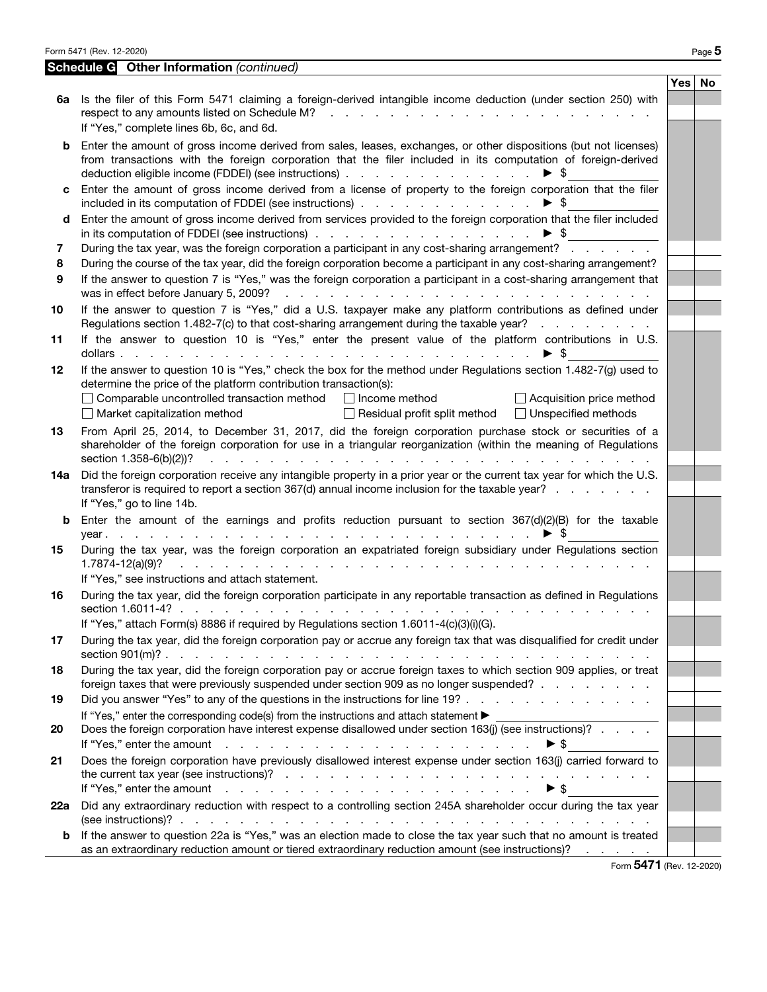|        | Form 5471 (Rev. 12-2020)                                                                                                                                                                                                                                                                                                                                                                            |          | Page 5 |
|--------|-----------------------------------------------------------------------------------------------------------------------------------------------------------------------------------------------------------------------------------------------------------------------------------------------------------------------------------------------------------------------------------------------------|----------|--------|
|        | <b>Schedule G</b> Other Information (continued)                                                                                                                                                                                                                                                                                                                                                     |          |        |
|        |                                                                                                                                                                                                                                                                                                                                                                                                     | Yes   No |        |
| 6a     | Is the filer of this Form 5471 claiming a foreign-derived intangible income deduction (under section 250) with<br>respect to any amounts listed on Schedule M?<br>the contract of the contract of the contract of the contract of the contract of the contract of the contract of<br>If "Yes," complete lines 6b, 6c, and 6d.                                                                       |          |        |
| b      | Enter the amount of gross income derived from sales, leases, exchanges, or other dispositions (but not licenses)<br>from transactions with the foreign corporation that the filer included in its computation of foreign-derived<br>deduction eligible income (FDDEI) (see instructions)<br>▶ \$                                                                                                    |          |        |
| c      | Enter the amount of gross income derived from a license of property to the foreign corporation that the filer<br>included in its computation of FDDEI (see instructions)<br>$\blacktriangleright$ s                                                                                                                                                                                                 |          |        |
| d<br>7 | Enter the amount of gross income derived from services provided to the foreign corporation that the filer included<br>$\blacktriangleright$ \$<br>During the tax year, was the foreign corporation a participant in any cost-sharing arrangement?                                                                                                                                                   |          |        |
| 8      | During the course of the tax year, did the foreign corporation become a participant in any cost-sharing arrangement?                                                                                                                                                                                                                                                                                |          |        |
| 9      | If the answer to question 7 is "Yes," was the foreign corporation a participant in a cost-sharing arrangement that<br>was in effect before January 5, 2009?<br>المتحاولة والمتحاول والمتحاولة والمتحاولة والمتحاولة والمتحاولة والمتحاولة                                                                                                                                                           |          |        |
| 10     | If the answer to question 7 is "Yes," did a U.S. taxpayer make any platform contributions as defined under<br>Regulations section 1.482-7(c) to that cost-sharing arrangement during the taxable year?                                                                                                                                                                                              |          |        |
| 11     | If the answer to question 10 is "Yes," enter the present value of the platform contributions in U.S.<br>- \$                                                                                                                                                                                                                                                                                        |          |        |
| 12     | If the answer to question 10 is "Yes," check the box for the method under Regulations section 1.482-7(g) used to<br>determine the price of the platform contribution transaction(s):                                                                                                                                                                                                                |          |        |
|        | $\Box$ Comparable uncontrolled transaction method<br>Income method<br>$\Box$ Acquisition price method<br>$\Box$ Market capitalization method<br>$\Box$ Residual profit split method<br>□ Unspecified methods                                                                                                                                                                                        |          |        |
| 13     | From April 25, 2014, to December 31, 2017, did the foreign corporation purchase stock or securities of a<br>shareholder of the foreign corporation for use in a triangular reorganization (within the meaning of Regulations<br>section 1.358-6(b)(2))?<br>$\mathbf{r}$ and $\mathbf{r}$ and $\mathbf{r}$ and $\mathbf{r}$                                                                          |          |        |
| 14a    | Did the foreign corporation receive any intangible property in a prior year or the current tax year for which the U.S.<br>transferor is required to report a section 367(d) annual income inclusion for the taxable year?<br>If "Yes," go to line 14b.                                                                                                                                              |          |        |
| b      | Enter the amount of the earnings and profits reduction pursuant to section $367(d)(2)(B)$ for the taxable<br>the contract of the contract of the contract of the contract of the contract of<br>- 5<br>$year.$                                                                                                                                                                                      |          |        |
| 15     | During the tax year, was the foreign corporation an expatriated foreign subsidiary under Regulations section<br>$1.7874 - 12(a)(9)?$<br>a construction of the construction of the construction of the construction of the construction of the construction of the construction of the construction of the construction of the construction of the construction of the<br>$\mathcal{L}^{\text{max}}$ |          |        |
|        | If "Yes," see instructions and attach statement.                                                                                                                                                                                                                                                                                                                                                    |          |        |
| 16     | During the tax year, did the foreign corporation participate in any reportable transaction as defined in Regulations                                                                                                                                                                                                                                                                                |          |        |
|        | If "Yes," attach Form(s) 8886 if required by Regulations section 1.6011-4(c)(3)(i)(G).                                                                                                                                                                                                                                                                                                              |          |        |
| 17     | During the tax year, did the foreign corporation pay or accrue any foreign tax that was disqualified for credit under                                                                                                                                                                                                                                                                               |          |        |
| 18     | During the tax year, did the foreign corporation pay or accrue foreign taxes to which section 909 applies, or treat<br>foreign taxes that were previously suspended under section 909 as no longer suspended?                                                                                                                                                                                       |          |        |
| 19     | Did you answer "Yes" to any of the questions in the instructions for line 19?                                                                                                                                                                                                                                                                                                                       |          |        |
| 20     | Does the foreign corporation have interest expense disallowed under section 163(j) (see instructions)?<br>If "Yes," enter the amount reflection of the contract of the contract of the contract of the contract of the contract of the contract of the contract of the contract of the contract of the contract of the contract of the c                                                            |          |        |
| 21     | Does the foreign corporation have previously disallowed interest expense under section 163(j) carried forward to<br>the current tax year (see instructions)? $\cdots$ $\cdots$ $\cdots$ $\cdots$ $\cdots$ $\cdots$ $\cdots$ $\cdots$ $\cdots$ $\cdots$                                                                                                                                              |          |        |
|        |                                                                                                                                                                                                                                                                                                                                                                                                     |          |        |
| 22a    | Did any extraordinary reduction with respect to a controlling section 245A shareholder occur during the tax year                                                                                                                                                                                                                                                                                    |          |        |
| b      | If the answer to question 22a is "Yes," was an election made to close the tax year such that no amount is treated<br>as an extraordinary reduction amount or tiered extraordinary reduction amount (see instructions)?                                                                                                                                                                              |          |        |